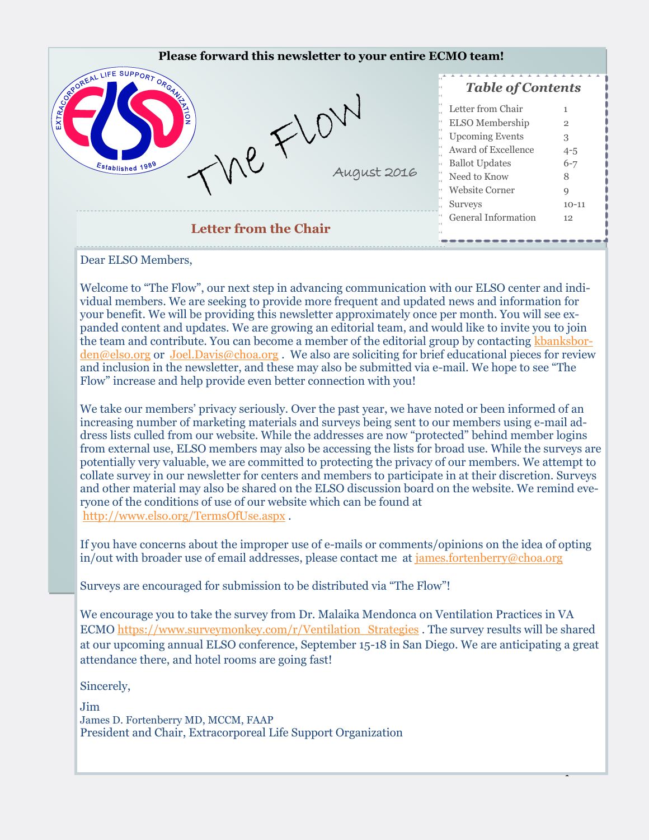

vidual members. We are seeking to provide more frequent and updated news and information for your benefit. We will be providing this newsletter approximately once per month. You will see expanded content and updates. We are growing an editorial team, and would like to invite you to join the team and contribute. You can become a member of the editorial group by contacting [kbanksbor](mailto:kbanksborden@elso.org)[den@elso.org](mailto:kbanksborden@elso.org) or [Joel.Davis@choa.org](mailto:Joel.Davis@choa.org). We also are soliciting for brief educational pieces for review and inclusion in the newsletter, and these may also be submitted via e-mail. We hope to see "The Flow" increase and help provide even better connection with you!

We take our members' privacy seriously. Over the past year, we have noted or been informed of an increasing number of marketing materials and surveys being sent to our members using e-mail address lists culled from our website. While the addresses are now "protected" behind member logins from external use, ELSO members may also be accessing the lists for broad use. While the surveys are potentially very valuable, we are committed to protecting the privacy of our members. We attempt to collate survey in our newsletter for centers and members to participate in at their discretion. Surveys and other material may also be shared on the ELSO discussion board on the website. We remind everyone of the conditions of use of our website which can be found at <http://www.elso.org/TermsOfUse.aspx> .

If you have concerns about the improper use of e-mails or comments/opinions on the idea of opting in/out with broader use of email addresses, please contact me at [james.fortenberry@choa.org](mailto:james.fortenberry@choa.org)

Surveys are encouraged for submission to be distributed via "The Flow"!

We encourage you to take the survey from Dr. Malaika Mendonca on Ventilation Practices in VA ECMO [https://www.surveymonkey.com/r/Ventilation\\_Strategies](https://www.surveymonkey.com/r/Ventilation_Strategies) . The survey results will be shared at our upcoming annual ELSO conference, September 15-18 in San Diego. We are anticipating a great attendance there, and hotel rooms are going fast!

1

Sincerely,

Jim James D. Fortenberry MD, MCCM, FAAP President and Chair, Extracorporeal Life Support Organization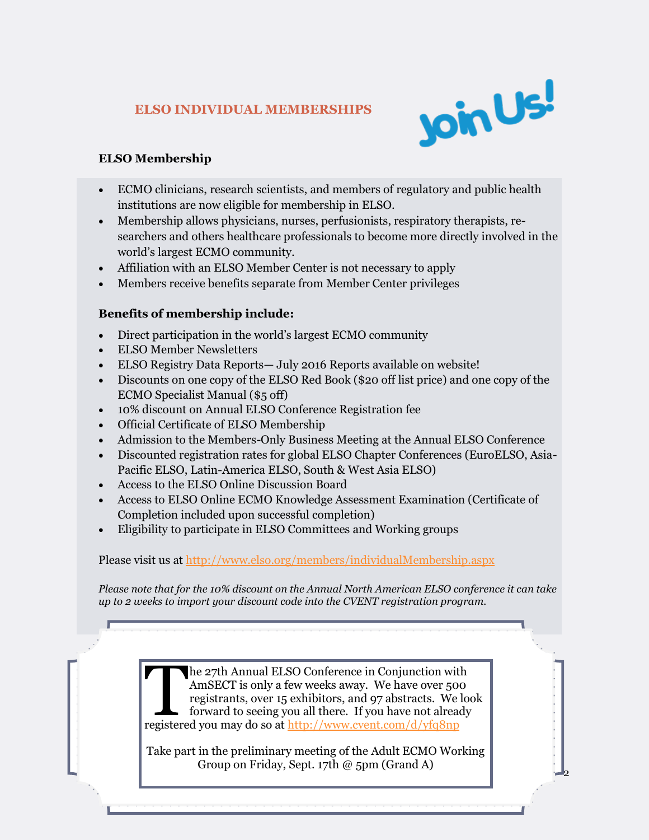# **ELSO INDIVIDUAL MEMBERSHIPS**



 $\overline{2}$ 

# **ELSO Membership**

- ECMO clinicians, research scientists, and members of regulatory and public health institutions are now eligible for membership in ELSO.
- Membership allows physicians, nurses, perfusionists, respiratory therapists, researchers and others healthcare professionals to become more directly involved in the world's largest ECMO community.
- Affiliation with an ELSO Member Center is not necessary to apply
- Members receive benefits separate from Member Center privileges

# **Benefits of membership include:**

- Direct participation in the world's largest ECMO community
- ELSO Member Newsletters
- ELSO Registry Data Reports— July 2016 Reports available on website!
- Discounts on one copy of the ELSO Red Book (\$20 off list price) and one copy of the ECMO Specialist Manual (\$5 off)
- 10% discount on Annual ELSO Conference Registration fee
- Official Certificate of ELSO Membership
- Admission to the Members-Only Business Meeting at the Annual ELSO Conference
- Discounted registration rates for global ELSO Chapter Conferences (EuroELSO, Asia-Pacific ELSO, Latin-America ELSO, South & West Asia ELSO)
- Access to the ELSO Online Discussion Board
- Access to ELSO Online ECMO Knowledge Assessment Examination (Certificate of Completion included upon successful completion)
- Eligibility to participate in ELSO Committees and Working groups

Please visit us at<http://www.elso.org/members/individualMembership.aspx>

*Please note that for the 10% discount on the Annual North American ELSO conference it can take up to 2 weeks to import your discount code into the CVENT registration program.* 

> The 27th Annual ELSO Conference in Conjunction wit<br>AmSECT is only a few weeks away. We have over 50<br>registrants, over 15 exhibitors, and 97 abstracts. We<br>forward to seeing you all there. If you have not alrea<br>registered yo he 27th Annual ELSO Conference in Conjunction with AmSECT is only a few weeks away. We have over 500 registrants, over 15 exhibitors, and 97 abstracts. We look forward to seeing you all there. If you have not already

> Take part in the preliminary meeting of the Adult ECMO Working Group on Friday, Sept. 17th @ 5pm (Grand A)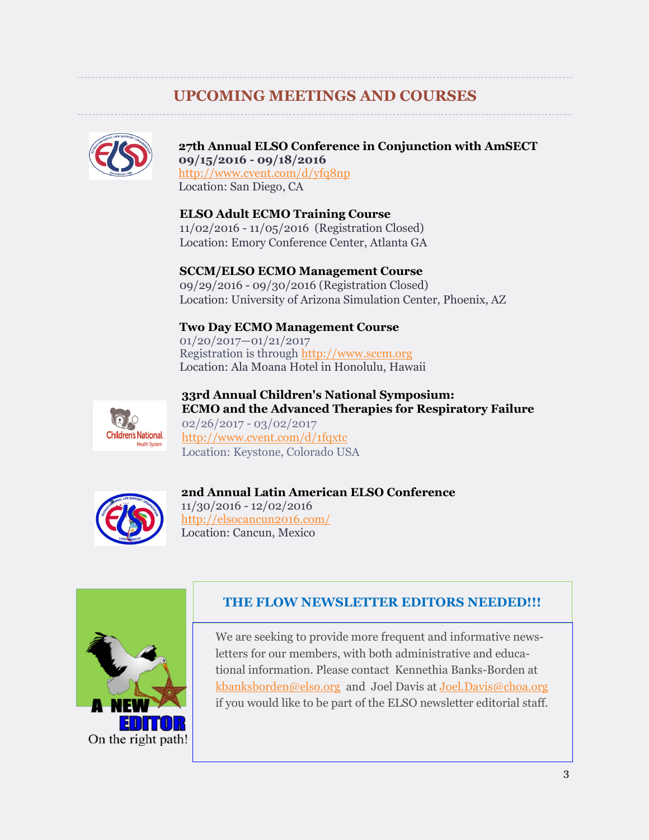# **UPCOMING MEETINGS AND COURSES**



#### **27th Annual ELSO Conference in Conjunction with AmSECT 09/15/2016 - 09/18/2016**

<http://www.cvent.com/d/yfq8np> Location: San Diego, CA

**ELSO Adult ECMO Training Course** 11/02/2016 - 11/05/2016 (Registration Closed) Location: Emory Conference Center, Atlanta GA

**SCCM/ELSO ECMO Management Course**

09/29/2016 - 09/30/2016 (Registration Closed) Location: University of Arizona Simulation Center, Phoenix, AZ

# **Two Day ECMO Management Course**

01/20/2017—01/21/2017 Registration is through [http://www.sccm.org](http://www.sccm.org/) Location: Ala Moana Hotel in Honolulu, Hawaii



**33rd Annual Children's National Symposium: ECMO and the Advanced Therapies for Respiratory Failure** 02/26/2017 - 03/02/2017 <http://www.cvent.com/d/1fqxtc> Location: Keystone, Colorado USA



# **2nd Annual Latin American ELSO Conference**

11/30/2016 - 12/02/2016 <http://elsocancun2016.com/> Location: Cancun, Mexico



# **THE FLOW NEWSLETTER EDITORS NEEDED!!!**

We are seeking to provide more frequent and informative newsletters for our members, with both administrative and educational information. Please contact Kennethia Banks-Borden at [kbanksborden@elso.org](mailto:kbanksborden@elso.org) and Joel Davis at [Joel.Davis@choa.org](mailto:Joel.Davis@choa.org)  if you would like to be part of the ELSO newsletter editorial staff.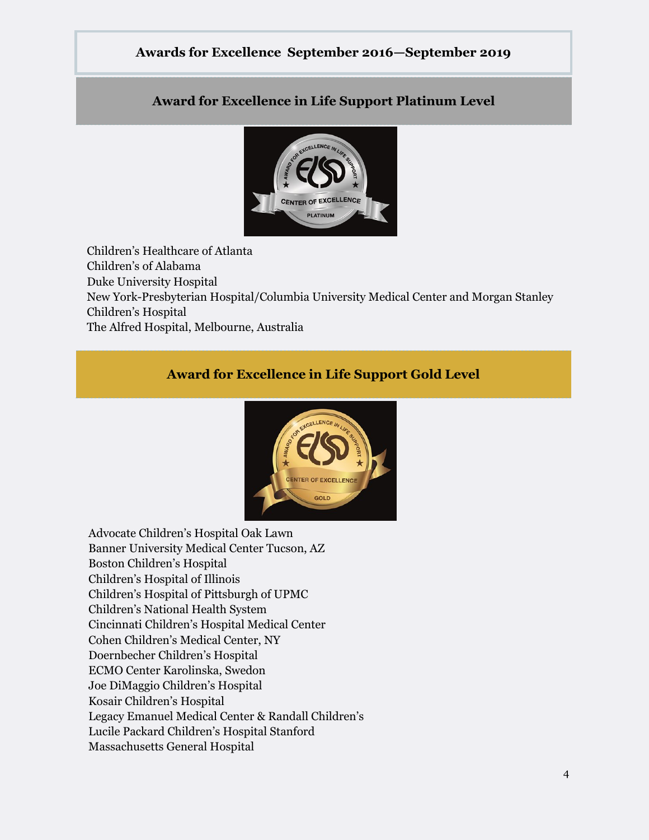# **Awards for Excellence September 2016—September 2019**

# **Award for Excellence in Life Support Platinum Level**



Children's Healthcare of Atlanta Children's of Alabama Duke University Hospital New York-Presbyterian Hospital/Columbia University Medical Center and Morgan Stanley Children's Hospital The Alfred Hospital, Melbourne, Australia

# **Award for Excellence in Life Support Gold Level**



Advocate Children's Hospital Oak Lawn Banner University Medical Center Tucson, AZ Boston Children's Hospital Children's Hospital of Illinois Children's Hospital of Pittsburgh of UPMC Children's National Health System Cincinnati Children's Hospital Medical Center Cohen Children's Medical Center, NY Doernbecher Children's Hospital ECMO Center Karolinska, Swedon Joe DiMaggio Children's Hospital Kosair Children's Hospital Legacy Emanuel Medical Center & Randall Children's Lucile Packard Children's Hospital Stanford Massachusetts General Hospital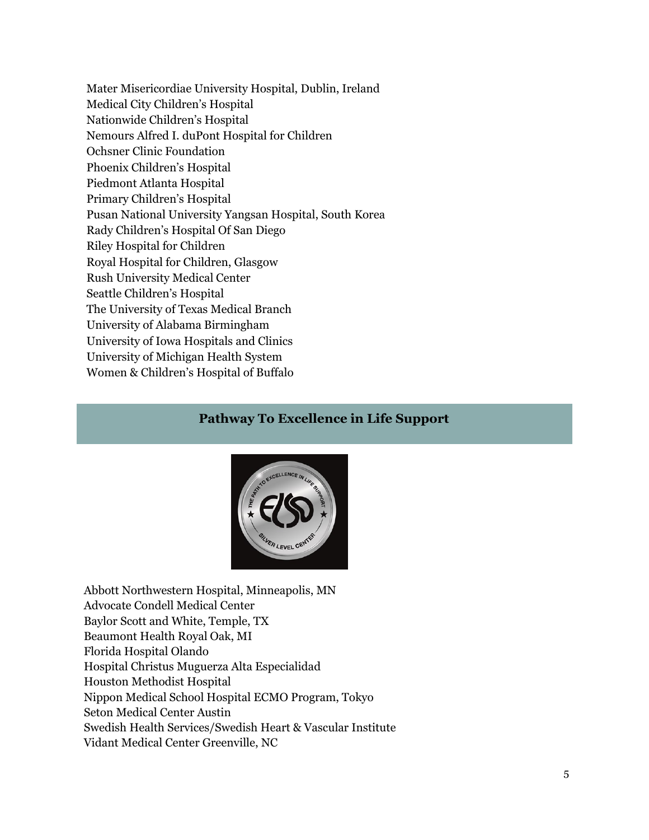Mater Misericordiae University Hospital, Dublin, Ireland Medical City Children's Hospital Nationwide Children's Hospital Nemours Alfred I. duPont Hospital for Children Ochsner Clinic Foundation Phoenix Children's Hospital Piedmont Atlanta Hospital Primary Children's Hospital Pusan National University Yangsan Hospital, South Korea Rady Children's Hospital Of San Diego Riley Hospital for Children Royal Hospital for Children, Glasgow Rush University Medical Center Seattle Children's Hospital The University of Texas Medical Branch University of Alabama Birmingham University of Iowa Hospitals and Clinics University of Michigan Health System Women & Children's Hospital of Buffalo

#### **Pathway To Excellence in Life Support**



Abbott Northwestern Hospital, Minneapolis, MN Advocate Condell Medical Center Baylor Scott and White, Temple, TX Beaumont Health Royal Oak, MI Florida Hospital Olando Hospital Christus Muguerza Alta Especialidad Houston Methodist Hospital Nippon Medical School Hospital ECMO Program, Tokyo Seton Medical Center Austin Swedish Health Services/Swedish Heart & Vascular Institute Vidant Medical Center Greenville, NC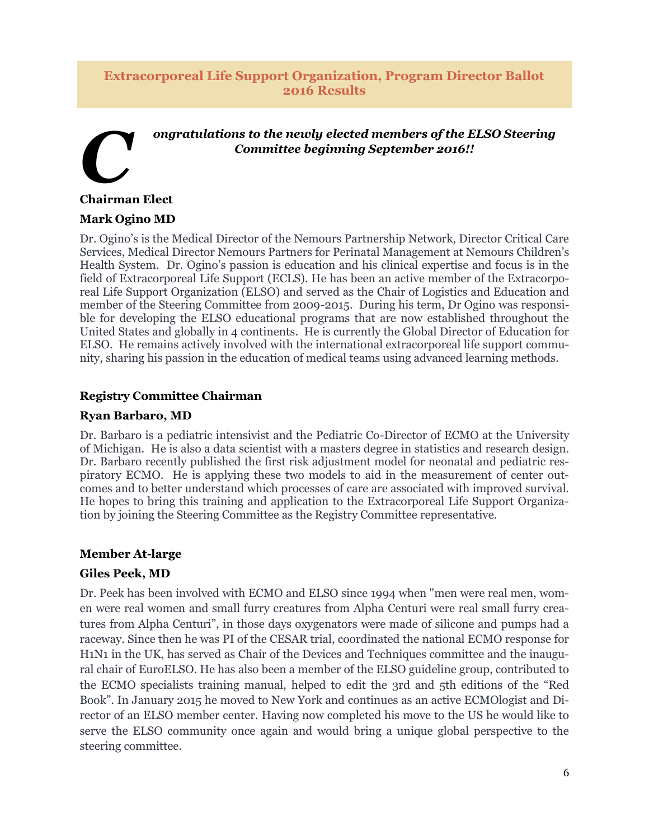#### **Extracorporeal Life Support Organization, Program Director Ballot 2016 Results**

# *C ongratulations to the newly elected members of the ELSO Steering Committee beginning September 2016!!*

#### **Chairman Elect**

#### **Mark Ogino MD**

Dr. Ogino's is the Medical Director of the Nemours Partnership Network, Director Critical Care Services, Medical Director Nemours Partners for Perinatal Management at Nemours Children's Health System. Dr. Ogino's passion is education and his clinical expertise and focus is in the field of Extracorporeal Life Support (ECLS). He has been an active member of the Extracorporeal Life Support Organization (ELSO) and served as the Chair of Logistics and Education and member of the Steering Committee from 2009-2015. During his term, Dr Ogino was responsible for developing the ELSO educational programs that are now established throughout the United States and globally in 4 continents. He is currently the Global Director of Education for ELSO. He remains actively involved with the international extracorporeal life support community, sharing his passion in the education of medical teams using advanced learning methods.

#### **Registry Committee Chairman**

#### **Ryan Barbaro, MD**

Dr. Barbaro is a pediatric intensivist and the Pediatric Co-Director of ECMO at the University of Michigan. He is also a data scientist with a masters degree in statistics and research design. Dr. Barbaro recently published the first risk adjustment model for neonatal and pediatric respiratory ECMO. He is applying these two models to aid in the measurement of center outcomes and to better understand which processes of care are associated with improved survival. He hopes to bring this training and application to the Extracorporeal Life Support Organization by joining the Steering Committee as the Registry Committee representative.

#### **Member At-large**

#### **Giles Peek, MD**

Dr. Peek has been involved with ECMO and ELSO since 1994 when "men were real men, women were real women and small furry creatures from Alpha Centuri were real small furry creatures from Alpha Centuri", in those days oxygenators were made of silicone and pumps had a raceway. Since then he was PI of the CESAR trial, coordinated the national ECMO response for H1N1 in the UK, has served as Chair of the Devices and Techniques committee and the inaugural chair of EuroELSO. He has also been a member of the ELSO guideline group, contributed to the ECMO specialists training manual, helped to edit the 3rd and 5th editions of the "Red Book". In January 2015 he moved to New York and continues as an active ECMOlogist and Director of an ELSO member center. Having now completed his move to the US he would like to serve the ELSO community once again and would bring a unique global perspective to the steering committee.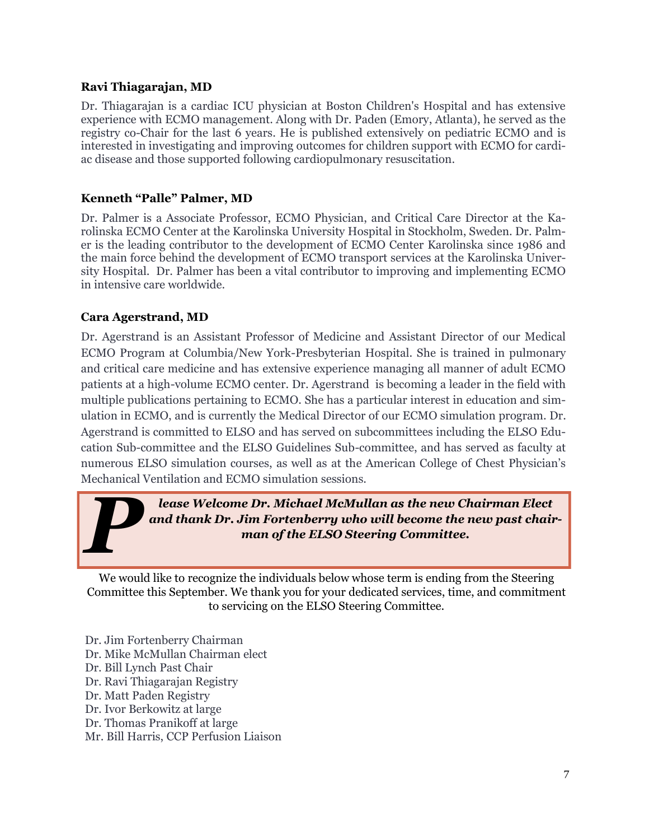# **Ravi Thiagarajan, MD**

Dr. Thiagarajan is a cardiac ICU physician at Boston Children's Hospital and has extensive experience with ECMO management. Along with Dr. Paden (Emory, Atlanta), he served as the registry co-Chair for the last 6 years. He is published extensively on pediatric ECMO and is interested in investigating and improving outcomes for children support with ECMO for cardiac disease and those supported following cardiopulmonary resuscitation.

# **Kenneth "Palle" Palmer, MD**

Dr. Palmer is a Associate Professor, ECMO Physician, and Critical Care Director at the Karolinska ECMO Center at the Karolinska University Hospital in Stockholm, Sweden. Dr. Palmer is the leading contributor to the development of ECMO Center Karolinska since 1986 and the main force behind the development of ECMO transport services at the Karolinska University Hospital. Dr. Palmer has been a vital contributor to improving and implementing ECMO in intensive care worldwide.

# **Cara Agerstrand, MD**

Dr. Agerstrand is an Assistant Professor of Medicine and Assistant Director of our Medical ECMO Program at Columbia/New York-Presbyterian Hospital. She is trained in pulmonary and critical care medicine and has extensive experience managing all manner of adult ECMO patients at a high-volume ECMO center. Dr. Agerstrand is becoming a leader in the field with multiple publications pertaining to ECMO. She has a particular interest in education and simulation in ECMO, and is currently the Medical Director of our ECMO simulation program. Dr. Agerstrand is committed to ELSO and has served on subcommittees including the ELSO Education Sub-committee and the ELSO Guidelines Sub-committee, and has served as faculty at numerous ELSO simulation courses, as well as at the American College of Chest Physician's Mechanical Ventilation and ECMO simulation sessions.

*P lease Welcome Dr. Michael McMullan as the new Chairman Elect and thank Dr. Jim Fortenberry who will become the new past chairman of the ELSO Steering Committee.*

We would like to recognize the individuals below whose term is ending from the Steering Committee this September. We thank you for your dedicated services, time, and commitment to servicing on the ELSO Steering Committee.

Dr. Jim Fortenberry Chairman Dr. Mike McMullan Chairman elect Dr. Bill Lynch Past Chair Dr. Ravi Thiagarajan Registry Dr. Matt Paden Registry Dr. Ivor Berkowitz at large Dr. Thomas Pranikoff at large Mr. Bill Harris, CCP Perfusion Liaison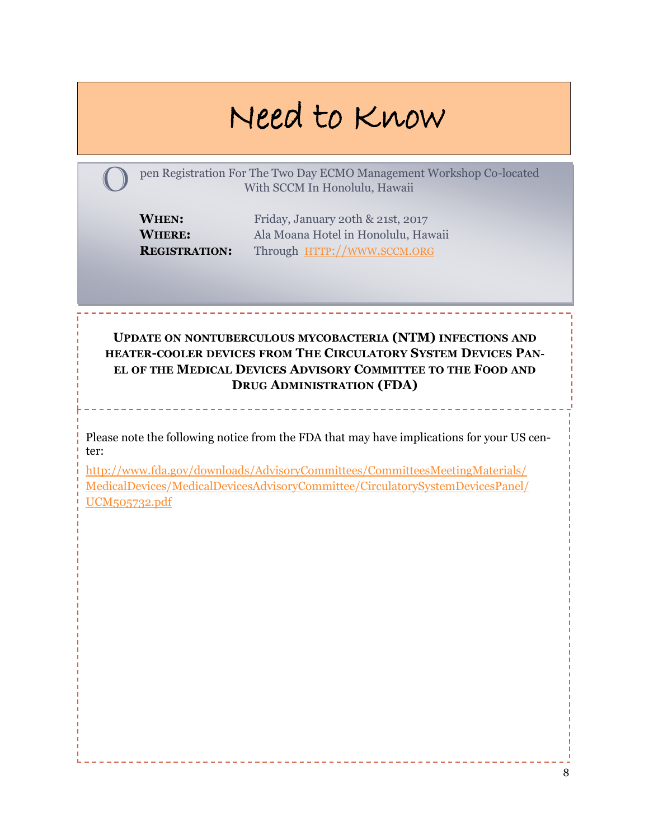# Need to Know

pen Registration For The Two Day ECMO Management Workshop Co-located With SCCM In Honolulu, Hawaii

**WHEN:** Friday, January 20th & 21st, 2017 **WHERE:** Ala Moana Hotel in Honolulu, Hawaii **REGISTRATION:** Through HTTP://[WWW](http://www.sccm.org).SCCM.ORG

**UPDATE ON NONTUBERCULOUS MYCOBACTERIA (NTM) INFECTIONS AND HEATER-COOLER DEVICES FROM THE CIRCULATORY SYSTEM DEVICES PAN-EL OF THE MEDICAL DEVICES ADVISORY COMMITTEE TO THE FOOD AND DRUG ADMINISTRATION (FDA)**

Please note the following notice from the FDA that may have implications for your US center:

[http://www.fda.gov/downloads/AdvisoryCommittees/CommitteesMeetingMaterials/](http://www.fda.gov/downloads/AdvisoryCommittees/CommitteesMeetingMaterials/MedicalDevices/MedicalDevicesAdvisoryCommittee/CirculatorySystemDevicesPanel/UCM505732.pdf) [MedicalDevices/MedicalDevicesAdvisoryCommittee/CirculatorySystemDevicesPanel/](http://www.fda.gov/downloads/AdvisoryCommittees/CommitteesMeetingMaterials/MedicalDevices/MedicalDevicesAdvisoryCommittee/CirculatorySystemDevicesPanel/UCM505732.pdf) [UCM505732.pdf](http://www.fda.gov/downloads/AdvisoryCommittees/CommitteesMeetingMaterials/MedicalDevices/MedicalDevicesAdvisoryCommittee/CirculatorySystemDevicesPanel/UCM505732.pdf)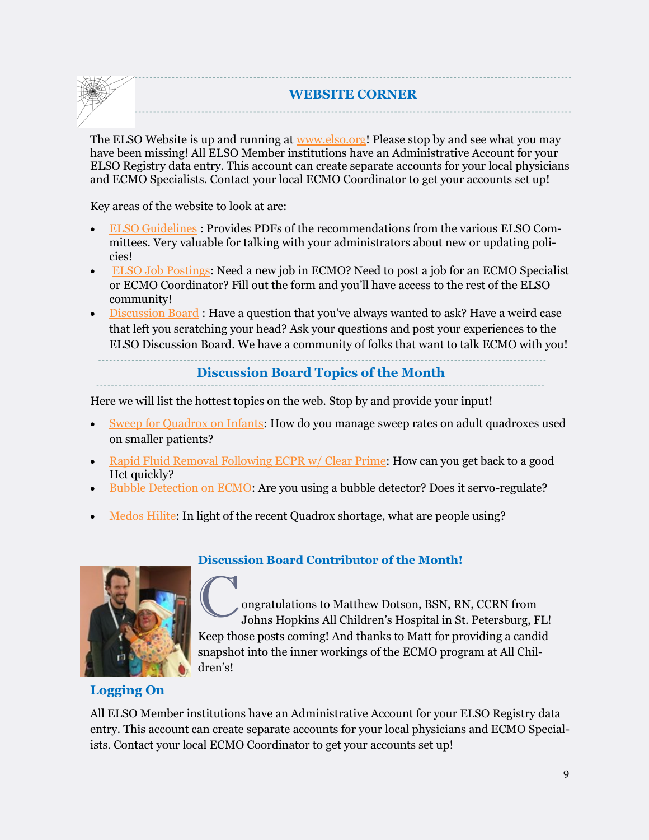#### **WEBSITE CORNER**

The ELSO Website is up and running at **[www.elso.org!](http://www.elso.org)** Please stop by and see what you may have been missing! All ELSO Member institutions have an Administrative Account for your ELSO Registry data entry. This account can create separate accounts for your local physicians and ECMO Specialists. Contact your local ECMO Coordinator to get your accounts set up!

Key areas of the website to look at are:

- [ELSO Guidelines](https://www.elso.org/Resources/Guidelines.aspx) : Provides PDFs of the recommendations from the various ELSO Committees. Very valuable for talking with your administrators about new or updating policies!
- [ELSO Job Postings:](https://www.elso.org/Resources/JobListings.aspx) Need a new job in ECMO? Need to post a job for an ECMO Specialist or ECMO Coordinator? Fill out the form and you'll have access to the rest of the ELSO community!
- [Discussion Board](https://www.elso.org/Resources/DiscussionBoard.aspx) : Have a question that you've always wanted to ask? Have a weird case that left you scratching your head? Ask your questions and post your experiences to the ELSO Discussion Board. We have a community of folks that want to talk ECMO with you!

#### **Discussion Board Topics of the Month**

Here we will list the hottest topics on the web. Stop by and provide your input!

- [Sweep for Quadrox on Infants:](https://www.elso.org/Resources/DiscussionBoard/tabid/111/forumid/1/threadid/733/scope/posts/Default.aspx) How do you manage sweep rates on adult quadroxes used on smaller patients?
- [Rapid Fluid Removal Following ECPR w/ Clear Prime:](https://www.elso.org/Resources/DiscussionBoard/tabid/111/forumid/14/threadid/648/scope/posts/Default.aspx) How can you get back to a good Hct quickly?
- [Bubble Detection on ECMO:](https://www.elso.org/Resources/DiscussionBoard/tabid/111/forumid/17/threadid/764/scope/posts/Default.aspx) Are you using a bubble detector? Does it servo-regulate?
- [Medos Hilite:](https://www.elso.org/Resources/DiscussionBoard/tabid/111/forumid/17/threadid/744/scope/posts/Default.aspx) In light of the recent Quadrox shortage, what are people using?



# **Discussion Board Contributor of the Month!**

Congratulations to Matthew Dotson, BSN, RN, CCRN from Johns Hopkins All Children's Hospital in St. Petersburg, FL! Keep those posts coming! And thanks to Matt for providing a candid snapshot into the inner workings of the ECMO program at All Children's!

# **Logging On**

All ELSO Member institutions have an Administrative Account for your ELSO Registry data entry. This account can create separate accounts for your local physicians and ECMO Specialists. Contact your local ECMO Coordinator to get your accounts set up!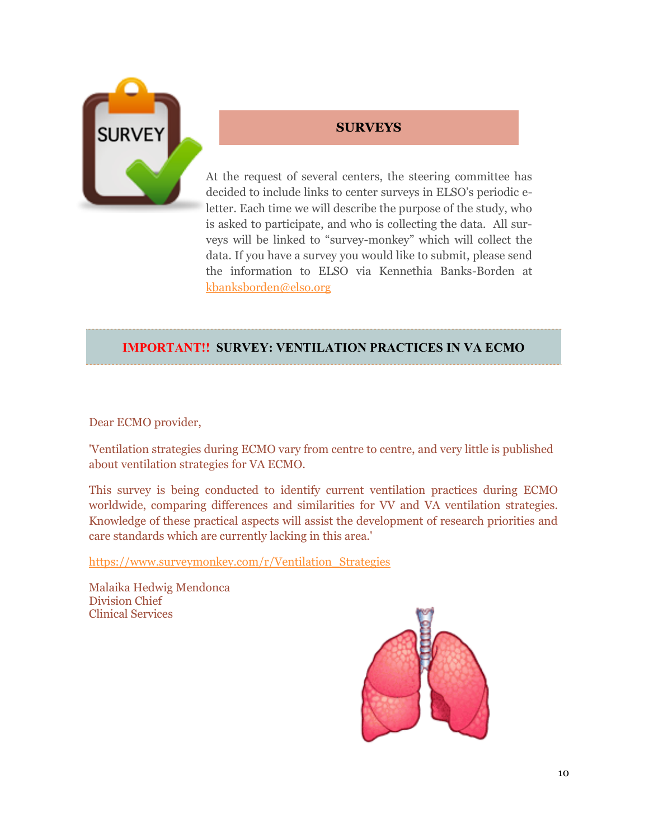

# **SURVEYS**

At the request of several centers, the steering committee has decided to include links to center surveys in ELSO's periodic eletter. Each time we will describe the purpose of the study, who is asked to participate, and who is collecting the data. All surveys will be linked to "survey-monkey" which will collect the data. If you have a survey you would like to submit, please send the information to ELSO via Kennethia Banks-Borden at [kbanksborden@elso.org](mailto:kbanksborden@elso.org)

# **IMPORTANT!! SURVEY: VENTILATION PRACTICES IN VA ECMO**

Dear ECMO provider,

'Ventilation strategies during ECMO vary from centre to centre, and very little is published about ventilation strategies for VA ECMO.

This survey is being conducted to identify current ventilation practices during ECMO worldwide, comparing differences and similarities for VV and VA ventilation strategies. Knowledge of these practical aspects will assist the development of research priorities and care standards which are currently lacking in this area.'

[https://www.surveymonkey.com/r/Ventilation\\_Strategies](https://www.surveymonkey.com/r/Ventilation_Strategies)

Malaika Hedwig Mendonca Division Chief Clinical Services

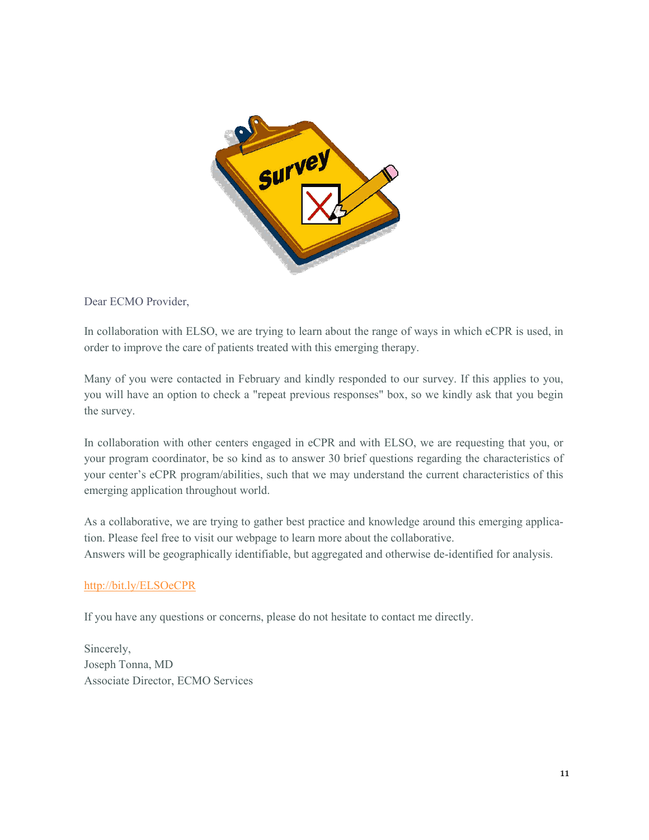

Dear ECMO Provider,

In collaboration with ELSO, we are trying to learn about the range of ways in which eCPR is used, in order to improve the care of patients treated with this emerging therapy.

Many of you were contacted in February and kindly responded to our survey. If this applies to you, you will have an option to check a "repeat previous responses" box, so we kindly ask that you begin the survey.

In collaboration with other centers engaged in eCPR and with ELSO, we are requesting that you, or your program coordinator, be so kind as to answer 30 brief questions regarding the characteristics of your center's eCPR program/abilities, such that we may understand the current characteristics of this emerging application throughout world.

As a collaborative, we are trying to gather best practice and knowledge around this emerging application. Please feel free to visit our webpage to learn more about the collaborative. Answers will be geographically identifiable, but aggregated and otherwise de-identified for analysis.

#### <http://bit.ly/ELSOeCPR>

If you have any questions or concerns, please do not hesitate to contact me directly.

Sincerely, Joseph Tonna, MD Associate Director, ECMO Services